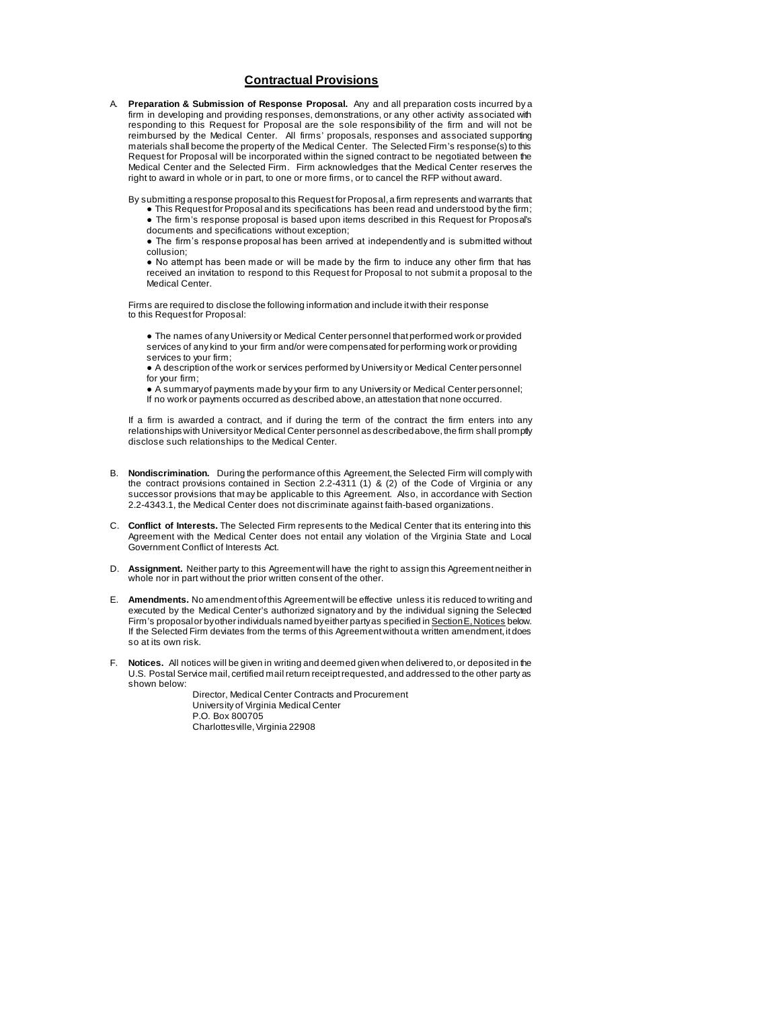## **Contractual Provisions**

A. **Preparation & Submission of Response Proposal.** Any and all preparation costs incurred by a firm in developing and providing responses, demonstrations, or any other activity associated with responding to this Request for Proposal are the sole responsibility of the firm and will not be reimbursed by the Medical Center. All firms' proposals, responses and associated supporting materials shall become the property of the Medical Center. The Selected Firm's response(s) to this Request for Proposal will be incorporated within the signed contract to be negotiated between the Medical Center and the Selected Firm. Firm acknowledges that the Medical Center reserves the right to award in whole or in part, to one or more firms, or to cancel the RFP without award.

By submitting a response proposal to this Request for Proposal, a firm represents and warrants that:

● This Request for Proposal and its specifications has been read and understood by the firm; ● The firm's response proposal is based upon items described in this Request for Proposal's

documents and specifications without exception; ● The firm's response proposal has been arrived at independently and is submitted without collusion;

● No attempt has been made or will be made by the firm to induce any other firm that has received an invitation to respond to this Request for Proposal to not submit a proposal to the Medical Center.

Firms are required to disclose the following information and include it with their response to this Request for Proposal:

● The names of any University or Medical Center personnel that performed work or provided services of any kind to your firm and/or were compensated for performing work or providing services to your firm;

● A description of the work or services performed by University or Medical Center personnel for your firm;

● A summary of payments made by your firm to any University or Medical Center personnel; If no work or payments occurred as described above, an attestation that none occurred.

If a firm is awarded a contract, and if during the term of the contract the firm enters into any relationships with University or Medical Center personnel as described above, the firm shall promptly disclose such relationships to the Medical Center.

- B. **Nondiscrimination.** During the performance of this Agreement, the Selected Firm will comply with the contract provisions contained in Section 2.2-4311 (1) & (2) of the Code of Virginia or any successor provisions that may be applicable to this Agreement. Also, in accordance with Section 2.2-4343.1, the Medical Center does not discriminate against faith-based organizations.
- C. **Conflict of Interests.** The Selected Firm represents to the Medical Center that its entering into this Agreement with the Medical Center does not entail any violation of the Virginia State and Local Government Conflict of Interests Act.
- D. **Assignment.** Neither party to this Agreement will have the right to assign this Agreement neither in whole nor in part without the prior written consent of the other.
- E. **Amendments.** No amendment of this Agreement will be effective unless it is reduced to writing and executed by the Medical Center's authorized signatory and by the individual signing the Selected Firm's proposal or by other individuals named by either party as specified in Section E, Notices below. If the Selected Firm deviates from the terms of this Agreement without a written amendment, it does so at its own risk.
- F. **Notices.** All notices will be given in writing and deemed given when delivered to, or deposited in the U.S. Postal Service mail, certified mail return receipt requested, and addressed to the other party as shown below:

Director, Medical Center Contracts and Procurement University of Virginia Medical Center P.O. Box 800705 Charlottesville, Virginia 22908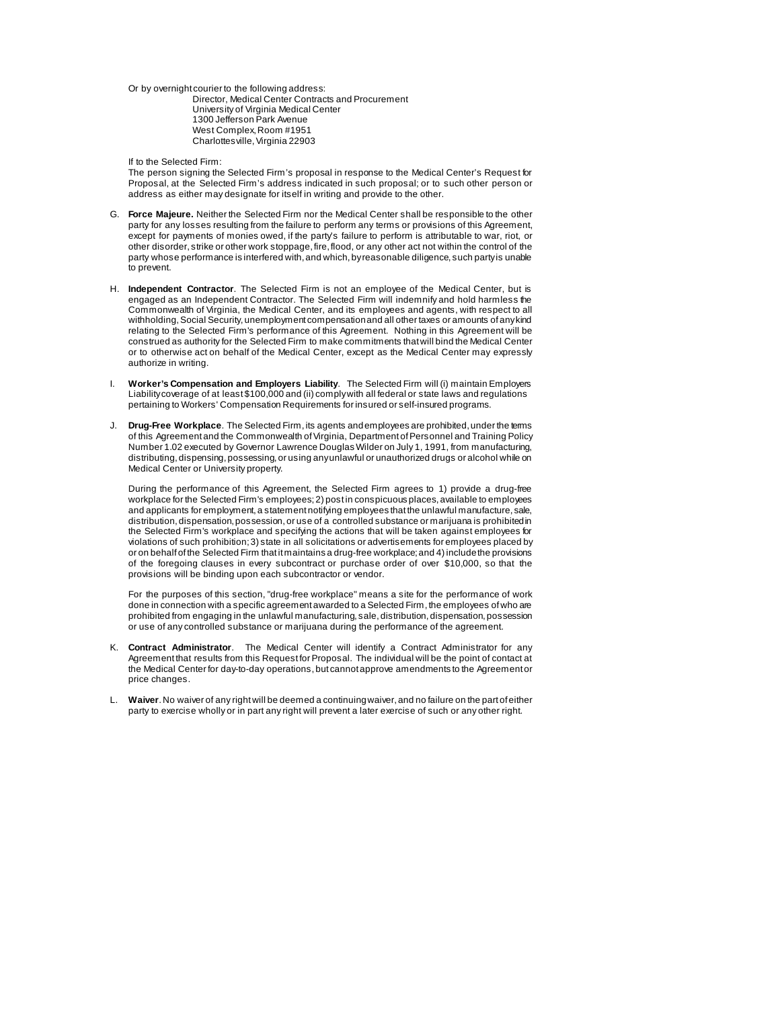Or by overnight courier to the following address:

Director, Medical Center Contracts and Procurement University of Virginia Medical Center 1300 Jefferson Park Avenue West Complex, Room #1951 Charlottesville, Virginia 22903

If to the Selected Firm:

The person signing the Selected Firm's proposal in response to the Medical Center's Request for Proposal, at the Selected Firm's address indicated in such proposal; or to such other person or address as either may designate for itself in writing and provide to the other.

- G. **Force Majeure.** Neither the Selected Firm nor the Medical Center shall be responsible to the other party for any losses resulting from the failure to perform any terms or provisions of this Agreement, except for payments of monies owed, if the party's failure to perform is attributable to war, riot, or other disorder, strike or other work stoppage, fire, flood, or any other act not within the control of the party whose performance is interfered with, and which, by reasonable diligence, such party is unable to prevent.
- H. **Independent Contractor**. The Selected Firm is not an employee of the Medical Center, but is engaged as an Independent Contractor. The Selected Firm will indemnify and hold harmless the Commonwealth of Virginia, the Medical Center, and its employees and agents, with respect to all withholding, Social Security, unemployment compensation and all other taxes or amounts of any kind relating to the Selected Firm's performance of this Agreement. Nothing in this Agreement will be construed as authority for the Selected Firm to make commitments that will bind the Medical Center or to otherwise act on behalf of the Medical Center, except as the Medical Center may expressly authorize in writing.
- I. **Worker's Compensation and Employers Liability**. The Selected Firm will (i) maintain Employers Liability coverage of at least \$100,000 and (ii) comply with all federal or state laws and regulations pertaining to Workers' Compensation Requirements for insured or self-insured programs.
- J. **Drug-Free Workplace**. The Selected Firm, its agents and employees are prohibited, under the terms of this Agreement and the Commonwealth of Virginia, Department of Personnel and Training Policy Number 1.02 executed by Governor Lawrence Douglas Wilder on July 1, 1991, from manufacturing, distributing, dispensing, possessing, or using any unlawful or unauthorized drugs or alcohol while on Medical Center or University property.

During the performance of this Agreement, the Selected Firm agrees to 1) provide a drug-free workplace for the Selected Firm's employees; 2) post in conspicuous places, available to employees and applicants for employment, a statement notifying employees that the unlawful manufacture, sale, distribution, dispensation, possession, or use of a controlled substance or marijuana is prohibited in the Selected Firm's workplace and specifying the actions that will be taken against employees for violations of such prohibition; 3) state in all solicitations or advertisements for employees placed by or on behalf of the Selected Firm that it maintains a drug-free workplace; and 4) include the provisions of the foregoing clauses in every subcontract or purchase order of over \$10,000, so that the provisions will be binding upon each subcontractor or vendor.

For the purposes of this section, "drug-free workplace" means a site for the performance of work done in connection with a specific agreement awarded to a Selected Firm, the employees of who are prohibited from engaging in the unlawful manufacturing, sale, distribution, dispensation, possession or use of any controlled substance or marijuana during the performance of the agreement.

- K. **Contract Administrator**. The Medical Center will identify a Contract Administrator for any Agreement that results from this Request for Proposal. The individual will be the point of contact at the Medical Center for day-to-day operations, but cannot approve amendments to the Agreement or price changes.
- L. **Waiver**. No waiver of any right will be deemed a continuing waiver, and no failure on the part of either party to exercise wholly or in part any right will prevent a later exercise of such or any other right.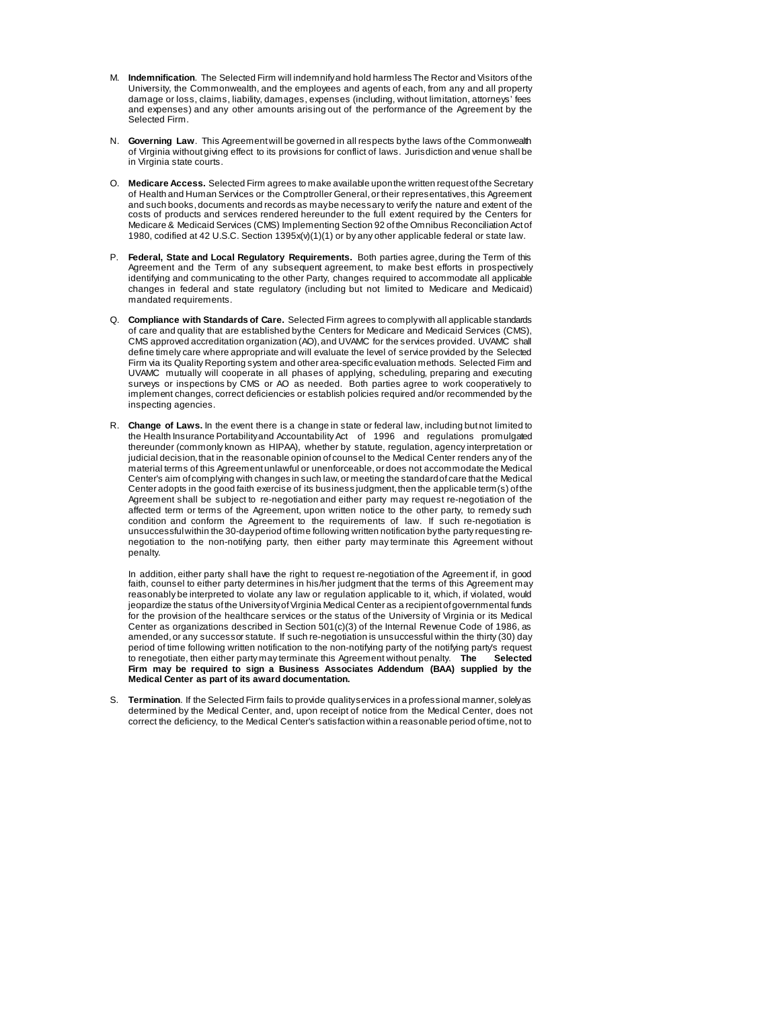- M. **Indemnification**. The Selected Firm will indemnify and hold harmless The Rector and Visitors of the University, the Commonwealth, and the employees and agents of each, from any and all property damage or loss, claims, liability, damages, expenses (including, without limitation, attorneys' fees and expenses) and any other amounts arising out of the performance of the Agreement by the Selected Firm.
- N. **Governing Law**. This Agreement will be governed in all respects by the laws of the Commonwealth of Virginia without giving effect to its provisions for conflict of laws. Jurisdiction and venue shall be in Virginia state courts.
- O. **Medicare Access.** Selected Firm agrees to make available upon the written request of the Secretary of Health and Human Services or the Comptroller General, or their representatives, this Agreement and such books, documents and records as may be necessary to verify the nature and extent of the costs of products and services rendered hereunder to the full extent required by the Centers for Medicare & Medicaid Services (CMS) Implementing Section 92 of the Omnibus Reconciliation Act of 1980, codified at 42 U.S.C. Section 1395x(v)(1)(1) or by any other applicable federal or state law.
- P. **Federal, State and Local Regulatory Requirements.** Both parties agree, during the Term of this Agreement and the Term of any subsequent agreement, to make best efforts in prospectively identifying and communicating to the other Party, changes required to accommodate all applicable changes in federal and state regulatory (including but not limited to Medicare and Medicaid) mandated requirements.
- Q. **Compliance with Standards of Care.** Selected Firm agrees to comply with all applicable standards of care and quality that are established by the Centers for Medicare and Medicaid Services (CMS), CMS approved accreditation organization (AO), and UVAMC for the services provided. UVAMC shall define timely care where appropriate and will evaluate the level of service provided by the Selected Firm via its Quality Reporting system and other area-specific evaluation methods. Selected Firm and UVAMC mutually will cooperate in all phases of applying, scheduling, preparing and executing surveys or inspections by CMS or AO as needed. Both parties agree to work cooperatively to implement changes, correct deficiencies or establish policies required and/or recommended by the inspecting agencies.
- R. **Change of Laws.** In the event there is a change in state or federal law, including but not limited to the Health Insurance Portabilityand Accountability Act of 1996 and regulations promulgated thereunder (commonly known as HIPAA), whether by statute, regulation, agency interpretation or judicial decision, that in the reasonable opinion of counsel to the Medical Center renders any of the material terms of this Agreement unlawful or unenforceable, or does not accommodate the Medical Center's aim of complying with changes in such law, or meeting the standard of care that the Medical Center adopts in the good faith exercise of its business judgment, then the applicable term(s) of the Agreement shall be subject to re-negotiation and either party may request re-negotiation of the affected term or terms of the Agreement, upon written notice to the other party, to remedy such condition and conform the Agreement to the requirements of law. If such re-negotiation is unsuccessful within the 30-dayperiod of time following written notification by the party requesting renegotiation to the non-notifying party, then either party may terminate this Agreement without penalty.

In addition, either party shall have the right to request re-negotiation of the Agreement if, in good faith, counsel to either party determines in his/her judgment that the terms of this Agreement may reasonably be interpreted to violate any law or regulation applicable to it, which, if violated, would jeopardize the status of the University of Virginia Medical Center as a recipient of governmental funds for the provision of the healthcare services or the status of the University of Virginia or its Medical Center as organizations described in Section 501(c)(3) of the Internal Revenue Code of 1986, as amended, or any successor statute. If such re-negotiation is unsuccessful within the thirty (30) day period of time following written notification to the non-notifying party of the notifying party's request to renegotiate, then either party may terminate this Agreement without penalty. **The Selected Firm may be required to sign a Business Associates Addendum (BAA) supplied by the Medical Center as part of its award documentation.**

S. **Termination**. If the Selected Firm fails to provide quality services in a professional manner, solely as determined by the Medical Center, and, upon receipt of notice from the Medical Center, does not correct the deficiency, to the Medical Center's satisfaction within a reasonable period of time, not to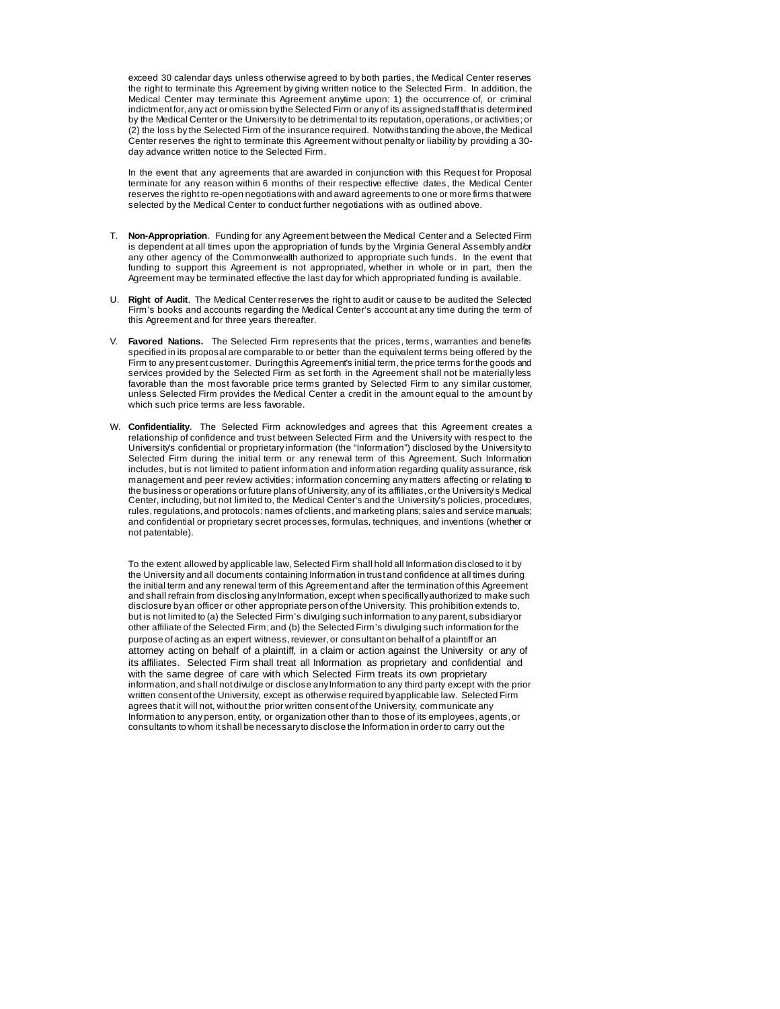exceed 30 calendar days unless otherwise agreed to by both parties, the Medical Center reserves the right to terminate this Agreement by giving written notice to the Selected Firm. In addition, the Medical Center may terminate this Agreement anytime upon: 1) the occurrence of, or criminal indictment for, any act or omission by the Selected Firm or any of its assigned staff that is determined by the Medical Center or the University to be detrimental to its reputation, operations, or activities; or (2) the loss by the Selected Firm of the insurance required. Notwithstanding the above, the Medical Center reserves the right to terminate this Agreement without penalty or liability by providing a 30 day advance written notice to the Selected Firm.

In the event that any agreements that are awarded in conjunction with this Request for Proposal terminate for any reason within 6 months of their respective effective dates, the Medical Center reserves the right to re-open negotiations with and award agreements to one or more firms that were selected by the Medical Center to conduct further negotiations with as outlined above.

- T. **Non-Appropriation**. Funding for any Agreement between the Medical Center and a Selected Firm is dependent at all times upon the appropriation of funds by the Virginia General Assembly and/or any other agency of the Commonwealth authorized to appropriate such funds. In the event that funding to support this Agreement is not appropriated, whether in whole or in part, then the Agreement may be terminated effective the last day for which appropriated funding is available.
- U. **Right of Audit**. The Medical Center reserves the right to audit or cause to be audited the Selected Firm's books and accounts regarding the Medical Center's account at any time during the term of this Agreement and for three years thereafter.
- V. **Favored Nations.** The Selected Firm represents that the prices, terms, warranties and benefits specified in its proposal are comparable to or better than the equivalent terms being offered by the Firm to any present customer. During this Agreement's initial term, the price terms for the goods and services provided by the Selected Firm as set forth in the Agreement shall not be materially less favorable than the most favorable price terms granted by Selected Firm to any similar customer, unless Selected Firm provides the Medical Center a credit in the amount equal to the amount by which such price terms are less favorable.
- W. **Confidentiality**. The Selected Firm acknowledges and agrees that this Agreement creates a relationship of confidence and trust between Selected Firm and the University with respect to the University's confidential or proprietary information (the "Information") disclosed by the University to Selected Firm during the initial term or any renewal term of this Agreement. Such Information includes, but is not limited to patient information and information regarding quality assurance, risk management and peer review activities; information concerning any matters affecting or relating to the business or operations or future plans of University, any of its affiliates, or the University's Medical Center, including, but not limited to, the Medical Center's and the University's policies, procedures, rules, regulations, and protocols; names of clients, and marketing plans; sales and service manuals; and confidential or proprietary secret processes, formulas, techniques, and inventions (whether or not patentable).

To the extent allowed by applicable law, Selected Firm shall hold all Information disclosed to it by the University and all documents containing Information in trust and confidence at all times during the initial term and any renewal term of this Agreement and after the termination of this Agreement and shall refrain from disclosing any Information, except when specifically authorized to make such disclosure by an officer or other appropriate person of the University. This prohibition extends to, but is not limited to (a) the Selected Firm's divulging such information to any parent, subsidiary or other affiliate of the Selected Firm; and (b) the Selected Firm's divulging such information for the purpose of acting as an expert witness, reviewer, or consultant on behalf of a plaintiff or an attorney acting on behalf of a plaintiff, in a claim or action against the University or any of its affiliates. Selected Firm shall treat all Information as proprietary and confidential and with the same degree of care with which Selected Firm treats its own proprietary information, and shall not divulge or disclose any Information to any third party except with the prior written consent of the University, except as otherwise required by applicable law. Selected Firm agrees that it will not, without the prior written consent of the University, communicate any Information to any person, entity, or organization other than to those of its employees, agents, or consultants to whom it shall be necessary to disclose the Information in order to carry out the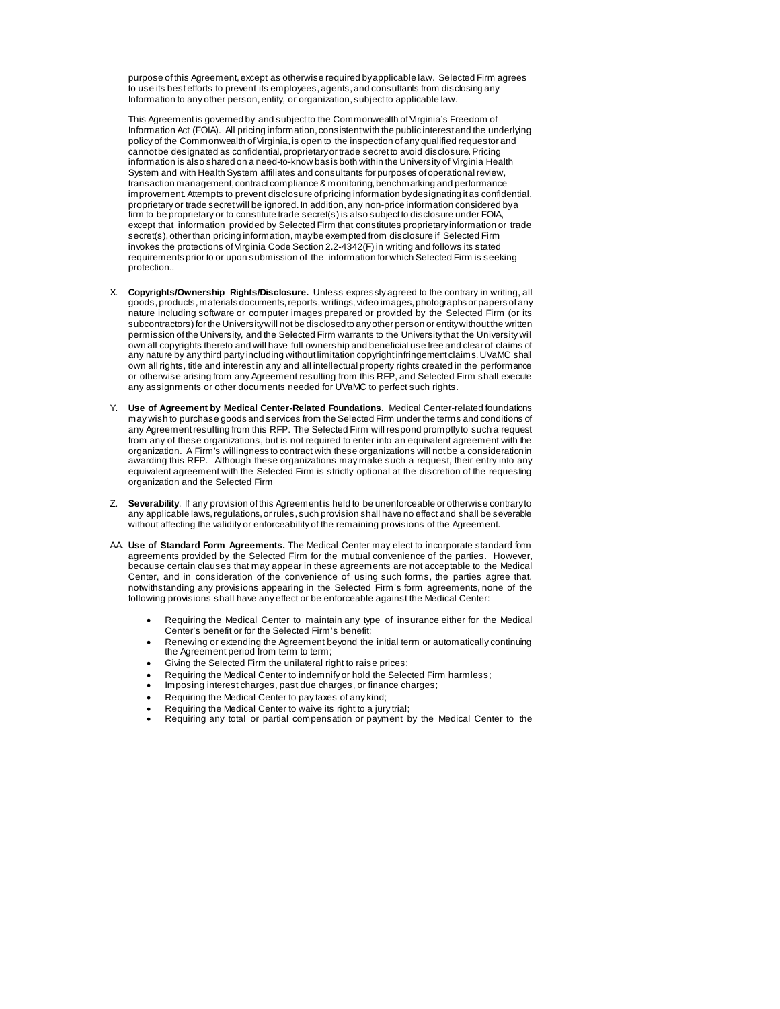purpose of this Agreement, except as otherwise required by applicable law. Selected Firm agrees to use its best efforts to prevent its employees, agents, and consultants from disclosing any Information to any other person, entity, or organization, subject to applicable law.

This Agreement is governed by and subject to the Commonwealth of Virginia's Freedom of Information Act (FOIA). All pricing information, consistent with the public interest and the underlying policy of the Commonwealth of Virginia, is open to the inspection of any qualified requestor and cannot be designated as confidential, proprietary or trade secret to avoid disclosure. Pricing information is also shared on a need-to-know basis both within the University of Virginia Health System and with Health System affiliates and consultants for purposes of operational review, transaction management, contract compliance & monitoring, benchmarking and performance improvement. Attempts to prevent disclosure of pricing information by designating it as confidential, proprietary or trade secret will be ignored. In addition, any non-price information considered by a firm to be proprietary or to constitute trade secret(s) is also subject to disclosure under FOIA, except that information provided by Selected Firm that constitutes proprietary information or trade secret(s), other than pricing information, may be exempted from disclosure if Selected Firm invokes the protections of Virginia Code Section 2.2-4342(F) in writing and follows its stated requirements prior to or upon submission of the information for which Selected Firm is seeking protection..

- X. **Copyrights/Ownership Rights/Disclosure.** Unless expressly agreed to the contrary in writing, all goods, products, materials documents, reports, writings, video images, photographs or papers of any nature including software or computer images prepared or provided by the Selected Firm (or its subcontractors) for the University will not be disclosed to any other person or entity without the written permission of the University, and the Selected Firm warrants to the University that the University will own all copyrights thereto and will have full ownership and beneficial use free and clear of claims of any nature by any third party including without limitation copyright infringement claims. UVaMC shall own all rights, title and interest in any and all intellectual property rights created in the performance or otherwise arising from any Agreement resulting from this RFP, and Selected Firm shall execute any assignments or other documents needed for UVaMC to perfect such rights.
- Y. **Use of Agreement by Medical Center-Related Foundations.** Medical Center-related foundations may wish to purchase goods and services from the Selected Firm under the terms and conditions of any Agreement resulting from this RFP. The Selected Firm will respond promptly to such a request from any of these organizations, but is not required to enter into an equivalent agreement with the organization. A Firm's willingness to contract with these organizations will not be a consideration in awarding this RFP. Although these organizations may make such a request, their entry into any equivalent agreement with the Selected Firm is strictly optional at the discretion of the requesting organization and the Selected Firm
- Z. **Severability**. If any provision of this Agreement is held to be unenforceable or otherwise contrary to any applicable laws, regulations, or rules, such provision shall have no effect and shall be severable without affecting the validity or enforceability of the remaining provisions of the Agreement.
- AA. **Use of Standard Form Agreements.** The Medical Center may elect to incorporate standard form agreements provided by the Selected Firm for the mutual convenience of the parties. However, because certain clauses that may appear in these agreements are not acceptable to the Medical Center, and in consideration of the convenience of using such forms, the parties agree that, notwithstanding any provisions appearing in the Selected Firm's form agreements, none of the following provisions shall have any effect or be enforceable against the Medical Center:
	- Requiring the Medical Center to maintain any type of insurance either for the Medical Center's benefit or for the Selected Firm's benefit;
	- Renewing or extending the Agreement beyond the initial term or automatically continuing the Agreement period from term to term;
	- Giving the Selected Firm the unilateral right to raise prices;
	- Requiring the Medical Center to indemnify or hold the Selected Firm harmless;
	- Imposing interest charges, past due charges, or finance charges;
	- Requiring the Medical Center to pay taxes of any kind;
	- Requiring the Medical Center to waive its right to a jury trial;
	- Requiring any total or partial compensation or payment by the Medical Center to the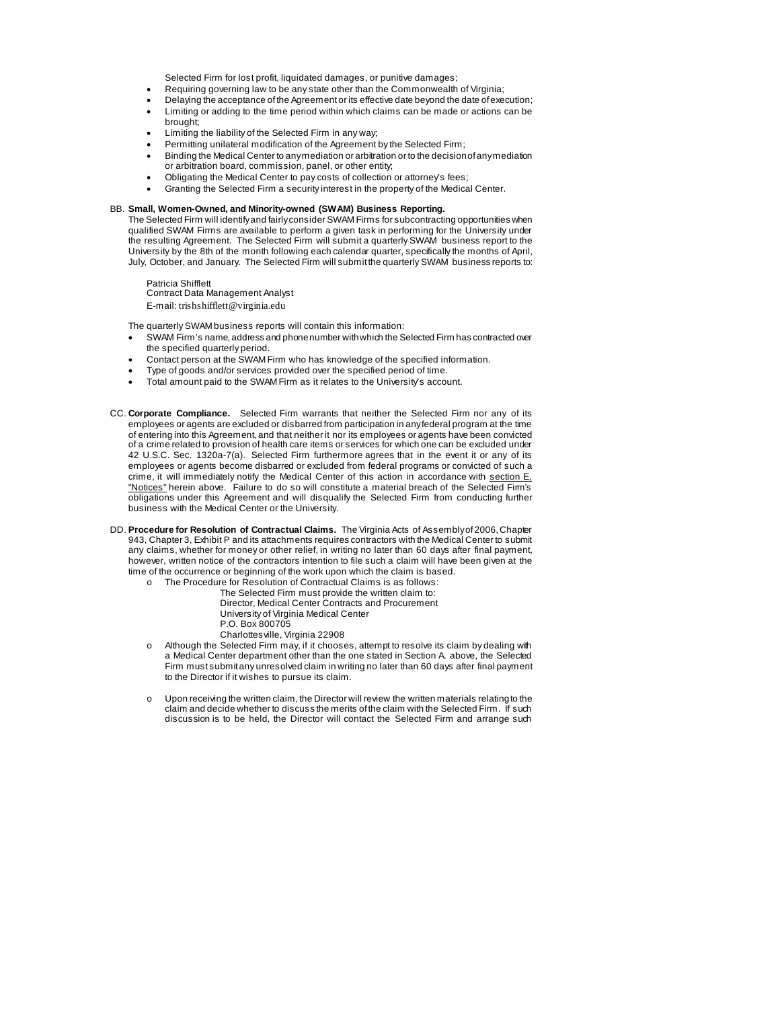Selected Firm for lost profit, liquidated damages, or punitive damages;

- Requiring governing law to be any state other than the Commonwealth of Virginia;
- Delaying the acceptance of the Agreement or its effective date beyond the date of execution;
- Limiting or adding to the time period within which claims can be made or actions can be brought;
- Limiting the liability of the Selected Firm in any way;
- Permitting unilateral modification of the Agreement by the Selected Firm;
- Binding the Medical Center to any mediation or arbitration or to the decision of any mediation or arbitration board, commission, panel, or other entity;
- Obligating the Medical Center to pay costs of collection or attorney's fees;
- Granting the Selected Firm a security interest in the property of the Medical Center.

## BB. **Small, Women-Owned, and Minority-owned (SWAM) Business Reporting.**

The Selected Firm will identify and fairly consider SWAM Firms for subcontracting opportunities when qualified SWAM Firms are available to perform a given task in performing for the University under the resulting Agreement. The Selected Firm will submit a quarterly SWAM business report to the University by the 8th of the month following each calendar quarter, specifically the months of April, July, October, and January. The Selected Firm will submit the quarterly SWAM business reports to:

Patricia Shifflett Contract Data Management Analyst E-mail: trishshifflett@virginia.edu

The quarterly SWAM business reports will contain this information:

- SWAM Firm's name, address and phone number with which the Selected Firm has contracted over the specified quarterly period.
- Contact person at the SWAM Firm who has knowledge of the specified information.
- Type of goods and/or services provided over the specified period of time.
- Total amount paid to the SWAM Firm as it relates to the University's account.
- CC. **Corporate Compliance.** Selected Firm warrants that neither the Selected Firm nor any of its employees or agents are excluded or disbarred from participation in any federal program at the time of entering into this Agreement, and that neither it nor its employees or agents have been convicted of a crime related to provision of health care items or services for which one can be excluded under 42 U.S.C. Sec. 1320a-7(a). Selected Firm furthermore agrees that in the event it or any of its employees or agents become disbarred or excluded from federal programs or convicted of such a crime, it will immediately notify the Medical Center of this action in accordance with section  $E$ , "Notices" herein above. Failure to do so will constitute a material breach of the Selected Fim's obligations under this Agreement and will disqualify the Selected Firm from conducting further business with the Medical Center or the University.
- DD. **Procedure for Resolution of Contractual Claims.** The Virginia Acts of Assembly of 2006, Chapter 943, Chapter 3, Exhibit P and its attachments requires contractors with the Medical Center to submit any claims, whether for money or other relief, in writing no later than 60 days after final payment, however, written notice of the contractors intention to file such a claim will have been given at the time of the occurrence or beginning of the work upon which the claim is based.
	- o The Procedure for Resolution of Contractual Claims is as follows:
		- The Selected Firm must provide the written claim to: Director, Medical Center Contracts and Procurement
		- University of Virginia Medical Center
		- P.O. Box 800705
		- Charlottesville, Virginia 22908
	- o Although the Selected Firm may, if it chooses, attempt to resolve its claim by dealing with a Medical Center department other than the one stated in Section A. above, the Selected Firm must submit any unresolved claim in writing no later than 60 days after final payment to the Director if it wishes to pursue its claim.
	- Upon receiving the written claim, the Director will review the written materials relating to the claim and decide whether to discuss the merits of the claim with the Selected Firm. If such discussion is to be held, the Director will contact the Selected Firm and arrange such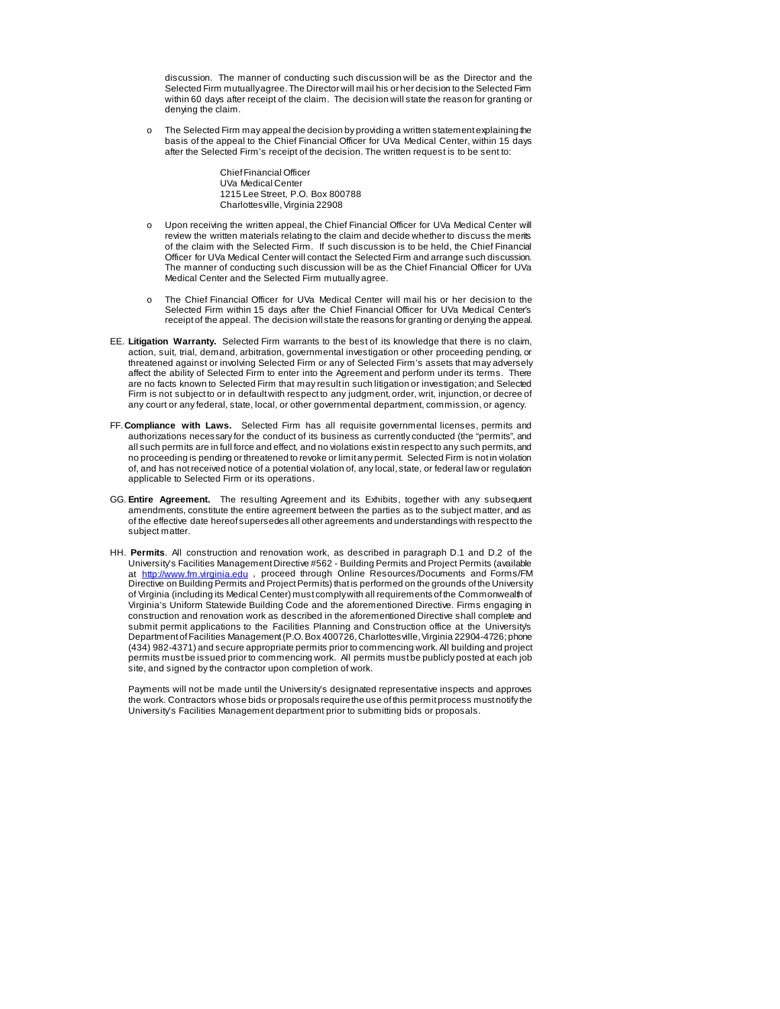discussion. The manner of conducting such discussion will be as the Director and the Selected Firm mutually agree. The Director will mail his or her decision to the Selected Firm within 60 days after receipt of the claim. The decision will state the reason for granting or denying the claim.

The Selected Firm may appeal the decision by providing a written statement explaining the basis of the appeal to the Chief Financial Officer for UVa Medical Center, within 15 days after the Selected Firm's receipt of the decision. The written request is to be sent to:

> Chief Financial Officer UVa Medical Center 1215 Lee Street, P.O. Box 800788 Charlottesville, Virginia 22908

- o Upon receiving the written appeal, the Chief Financial Officer for UVa Medical Center will review the written materials relating to the claim and decide whether to discuss the merits of the claim with the Selected Firm. If such discussion is to be held, the Chief Financial Officer for UVa Medical Center will contact the Selected Firm and arrange such discussion. The manner of conducting such discussion will be as the Chief Financial Officer for UVa Medical Center and the Selected Firm mutually agree.
- o The Chief Financial Officer for UVa Medical Center will mail his or her decision to the Selected Firm within 15 days after the Chief Financial Officer for UVa Medical Center's receipt of the appeal. The decision will state the reasons for granting or denying the appeal.
- EE. **Litigation Warranty.** Selected Firm warrants to the best of its knowledge that there is no claim, action, suit, trial, demand, arbitration, governmental investigation or other proceeding pending, or threatened against or involving Selected Firm or any of Selected Firm's assets that may adversely affect the ability of Selected Firm to enter into the Agreement and perform under its terms. There are no facts known to Selected Firm that may result in such litigation or investigation; and Selected Firm is not subject to or in default with respect to any judgment, order, writ, injunction, or decree of any court or any federal, state, local, or other governmental department, commission, or agency.
- FF.**Compliance with Laws.** Selected Firm has all requisite governmental licenses, permits and authorizations necessary for the conduct of its business as currently conducted (the "permits", and all such permits are in full force and effect, and no violations exist in respect to any such permits, and no proceeding is pending or threatened to revoke or limit any permit. Selected Firm is not in violation of, and has not received notice of a potential violation of, any local, state, or federal law or regulation applicable to Selected Firm or its operations.
- GG. **Entire Agreement.** The resulting Agreement and its Exhibits, together with any subsequent amendments, constitute the entire agreement between the parties as to the subject matter, and as of the effective date hereof supersedes all other agreements and understandings with respect to the subject matter.
- HH. **Permits**. All construction and renovation work, as described in paragraph D.1 and D.2 of the University's Facilities Management Directive #562 - Building Permits and Project Permits (available at [http://www.fm.virginia.edu](http://www.fm.virginia.edu/), proceed through Online Resources/Documents and Forms/FM Directive on Building Permits and Project Permits) that is performed on the grounds of the University of Virginia (including its Medical Center) must comply with all requirements of the Commonwealth of Virginia's Uniform Statewide Building Code and the aforementioned Directive. Firms engaging in construction and renovation work as described in the aforementioned Directive shall complete and submit permit applications to the Facilities Planning and Construction office at the University's Department of Facilities Management (P.O. Box 400726, Charlottesville, Virginia 22904-4726; phone (434) 982-4371) and secure appropriate permits prior to commencing work. All building and project permits must be issued prior to commencing work. All permits must be publicly posted at each job site, and signed by the contractor upon completion of work.

Payments will not be made until the University's designated representative inspects and approves the work. Contractors whose bids or proposals require the use of this permit process must notify the University's Facilities Management department prior to submitting bids or proposals.